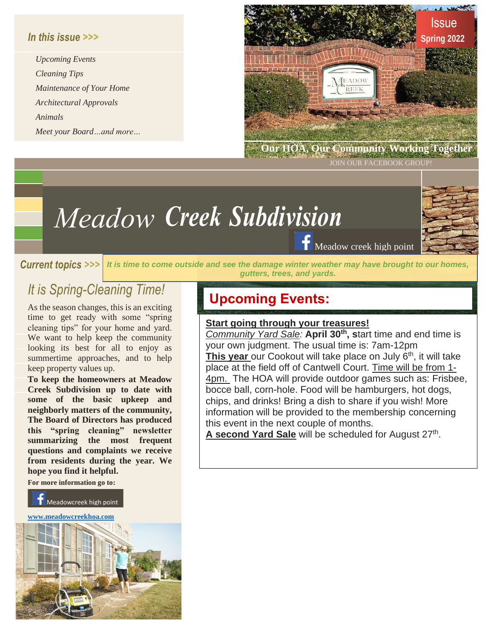## *In this issue >>>*

*Upcoming Events Cleaning Tips Maintenance of Your Home Architectural Approvals Animals Meet your Board…and more…*



 **Our HOA, Our Community Working Together**

JOIN OUR FACEBOOK GROUP

# *Creek Subdivision Meadow*

Meadow creek high point

*Current topics >>> It is time to come outside and see the damage winter weather may have brought to our homes, gutters, trees, and yards.* 

## *It is Spring-Cleaning Time!*

As the season changes, this is an exciting time to get ready with some "spring cleaning tips" for your home and yard. We want to help keep the community looking its best for all to enjoy as summertime approaches, and to help keep property values up.

**To keep the homeowners at Meadow Creek Subdivision up to date with some of the basic upkeep and neighborly matters of the community, The Board of Directors has produced this "spring cleaning" newsletter summarizing the most frequent questions and complaints we receive from residents during the year. We hope you find it helpful.**

**For more information go to:** 

Meadowcreek high point

**[www.meadowcreekhoa.com](http://www.meadowcreekhoa.com/)**



## **Upcoming Events:**

### **Start going through your treasures!**

*Community Yard Sale:* **April 30th , s**tart time and end time is your own judgment. The usual time is: 7am-12pm This year our Cookout will take place on July 6<sup>th</sup>, it will take place at the field off of Cantwell Court. Time will be from 1- 4pm. The HOA will provide outdoor games such as: Frisbee, bocce ball, corn-hole. Food will be hamburgers, hot dogs, chips, and drinks! Bring a dish to share if you wish! More information will be provided to the membership concerning this event in the next couple of months. A second Yard Sale will be scheduled for August 27<sup>th</sup>.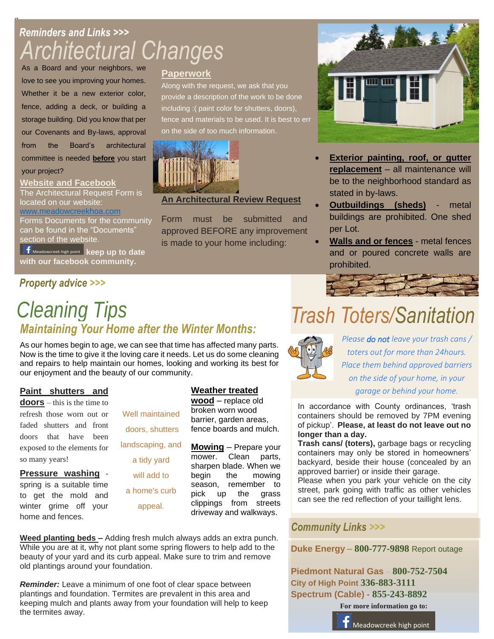# *Reminders and Links >>> Architectural Changes*

As a Board and your neighbors, we love to see you improving your homes. Whether it be a new exterior color, fence, adding a deck, or building a storage building. Did you know that per our Covenants and By-laws, approval from the Board's architectural committee is needed **before** you start your project?

## **Website and Facebook**

g

The Architectural Request Form is located on our website:

[www.meadowcreekhoa.com](http://www.meadowcreekhoa.com/) Forms Documents for the community can be found in the "Documents" section of the website.

Meadowcreek high point **keep up to date with our facebook community.**

## *Property advice >>>*

## **Paperwork**

Along with the request, we ask that you provide a description of the work to be done including :( paint color for shutters, doors), fence and materials to be used. It is best to err on the side of too much information.



## **An Architectural Review Request**

Form must be submitted and approved BEFORE any improvement is made to your home including:



- **Exterior painting, roof, or gutter replacement** – all maintenance will be to the neighborhood standard as stated in by-laws.
- **Outbuildings (sheds)** metal buildings are prohibited. One shed per Lot.
- **Walls and or fences** metal fences and or poured concrete walls are prohibited.



# *Trash Toters/Sanitation*



*Please do not leave your trash cans / toters out for more than 24hours. Place them behind approved barriers on the side of your home, in your garage or behind your home.*

In accordance with County ordinances, 'trash containers should be removed by 7PM evening of pickup'. **Please, at least do not leave out no longer than a day.** 

**Trash cans/ (toters),** garbage bags or recycling containers may only be stored in homeowners' backyard, beside their house (concealed by an approved barrier) or inside their garage.

Please when you park your vehicle on the city street, park going with traffic as other vehicles can see the red reflection of your taillight lens.

## *Community Links >>>*

**Duke [Energy](https://www.duke-energy.com/home)** – **800-777-9898** Report [outage](https://www.duke-energy.com/outages) 

**[Piedmont](https://piedmontng.com/) Natural Gas** – **800-752-7504 City of High [Point](https://www.highpointnc.gov/) 336-883-3111 [Spectrum](https://www.spectrum.com/) (Cable) - 855-243-8892**

**For more information go to:**



## Meadowcreek high point

# *Cleaning Tips Maintaining Your Home after the Winter Months:*

As our homes begin to age, we can see that time has affected many parts. Now is the time to give it the loving care it needs. Let us do some cleaning and repairs to help maintain our homes, looking and working its best for our enjoyment and the beauty of our community.

### **Paint shutters and**

**doors** – this is the time to refresh those worn out or faded shutters and front doors that have been exposed to the elements for so many years!

**Pressure washing** spring is a suitable time to get the mold and winter grime off your home and fences.



### **Weather treated**

**wood** – replace old broken worn wood barrier, garden areas, fence boards and mulch.

**Mowing** – Prepare your mower. Clean parts, sharpen blade. When we begin the mowing season, remember to pick up the grass clippings from streets driveway and walkways.

**Weed planting beds –** Adding fresh mulch always adds an extra punch. While you are at it, why not plant some spring flowers to help add to the beauty of your yard and its curb appeal. Make sure to trim and remove old plantings around your foundation.

*Reminder:* Leave a minimum of one foot of clear space between plantings and foundation. Termites are prevalent in this area and keeping mulch and plants away from your foundation will help to keep the termites away.